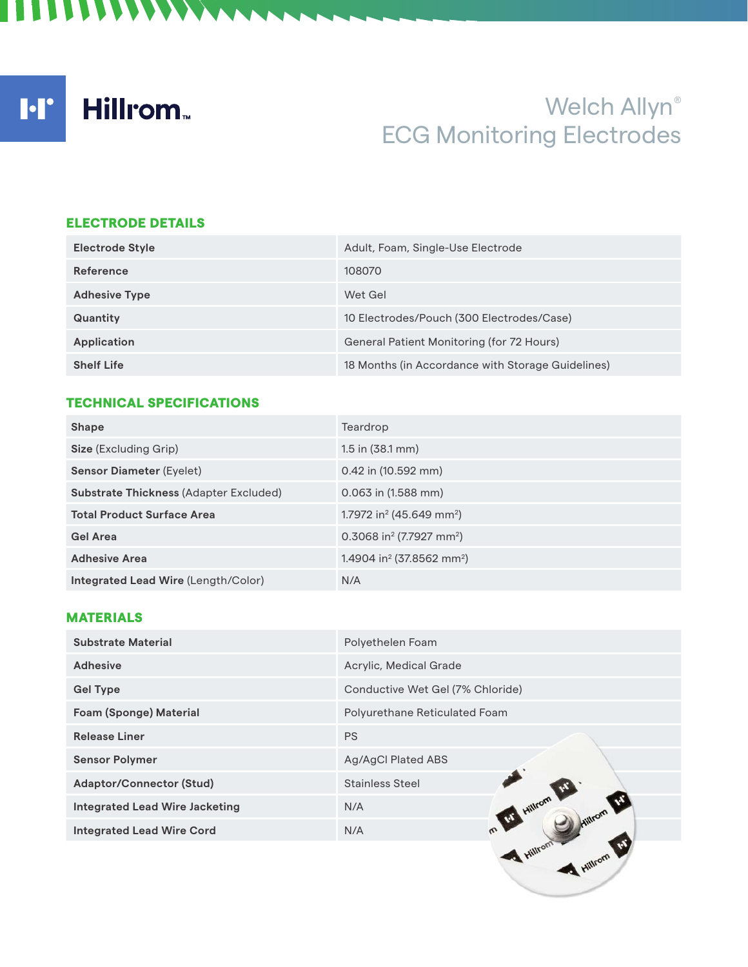# Welch Allyn® ECG Monitoring Electrodes

### ELECTRODE DETAILS

**ITTITIANA** 

| <b>Electrode Style</b> | Adult, Foam, Single-Use Electrode                 |
|------------------------|---------------------------------------------------|
| <b>Reference</b>       | 108070                                            |
| <b>Adhesive Type</b>   | Wet Gel                                           |
| Quantity               | 10 Electrodes/Pouch (300 Electrodes/Case)         |
| Application            | General Patient Monitoring (for 72 Hours)         |
| <b>Shelf Life</b>      | 18 Months (in Accordance with Storage Guidelines) |

## TECHNICAL SPECIFICATIONS

| <b>Shape</b>                                  | Teardrop                                          |
|-----------------------------------------------|---------------------------------------------------|
| <b>Size</b> (Excluding Grip)                  | $1.5$ in $(38.1$ mm)                              |
| <b>Sensor Diameter (Eyelet)</b>               | $0.42$ in (10.592 mm)                             |
| <b>Substrate Thickness (Adapter Excluded)</b> | $0.063$ in $(1.588$ mm)                           |
| <b>Total Product Surface Area</b>             | 1.7972 in <sup>2</sup> (45.649 mm <sup>2</sup> )  |
| <b>Gel Area</b>                               | 0.3068 in <sup>2</sup> (7.7927 mm <sup>2</sup> )  |
| <b>Adhesive Area</b>                          | 1.4904 in <sup>2</sup> (37.8562 mm <sup>2</sup> ) |
| <b>Integrated Lead Wire (Length/Color)</b>    | N/A                                               |

## MATERIALS

| <b>Substrate Material</b>             | Polyethelen Foam                 |
|---------------------------------------|----------------------------------|
| <b>Adhesive</b>                       | Acrylic, Medical Grade           |
| <b>Gel Type</b>                       | Conductive Wet Gel (7% Chloride) |
| <b>Foam (Sponge) Material</b>         | Polyurethane Reticulated Foam    |
| <b>Release Liner</b>                  | <b>PS</b>                        |
| <b>Sensor Polymer</b>                 | Ag/AgCl Plated ABS               |
| <b>Adaptor/Connector (Stud)</b>       | <b>Stainless Steel</b>           |
| <b>Integrated Lead Wire Jacketing</b> | Hillrom<br>N/A                   |
| <b>Integrated Lead Wire Cord</b>      | N/A                              |
|                                       | Hillron,                         |